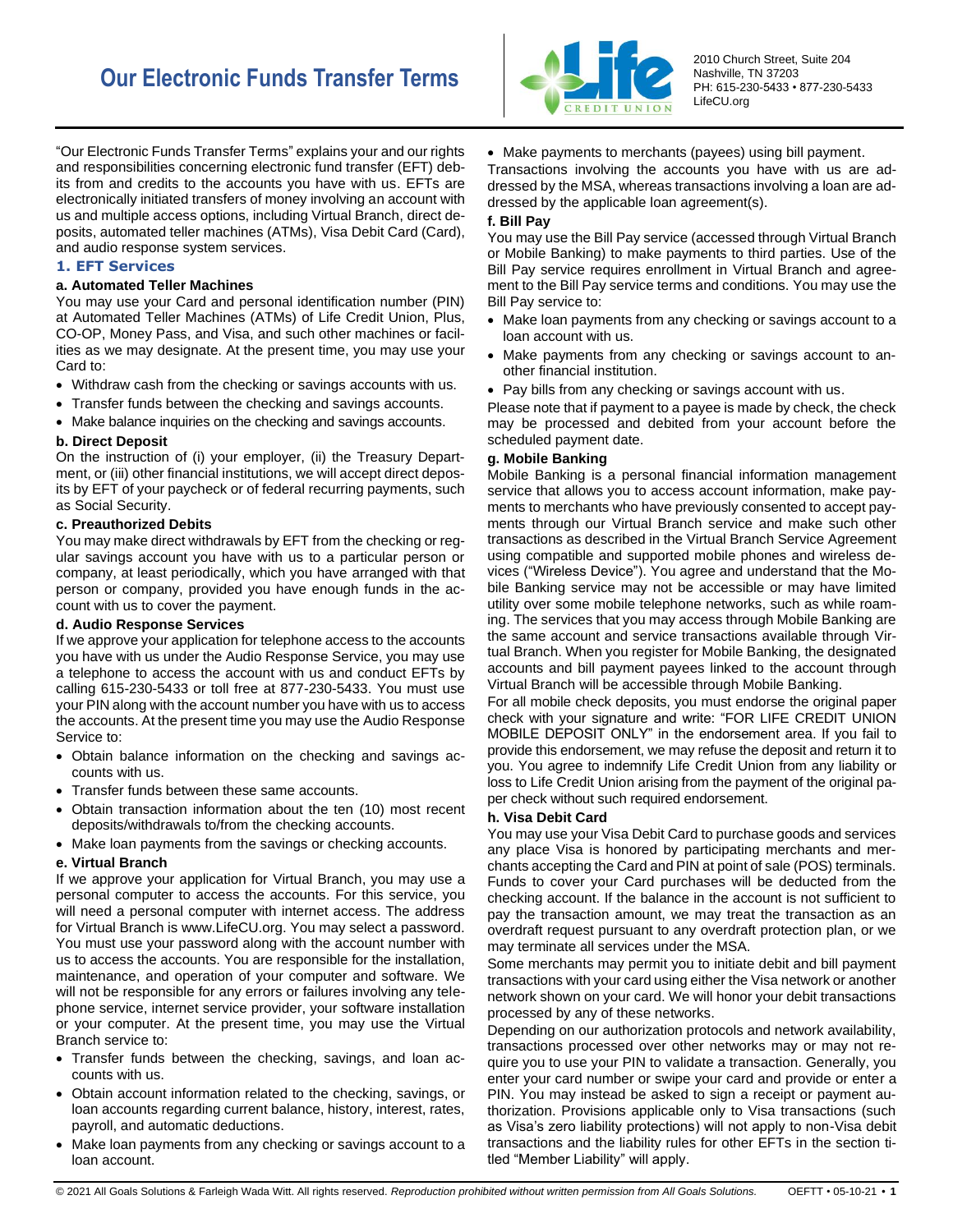

2010 Church Street, Suite 204 Nashville, TN 37203 PH: 615-230-5433 • 877-230-5433 LifeCU.org

"Our Electronic Funds Transfer Terms" explains your and our rights and responsibilities concerning electronic fund transfer (EFT) debits from and credits to the accounts you have with us. EFTs are electronically initiated transfers of money involving an account with us and multiple access options, including Virtual Branch, direct deposits, automated teller machines (ATMs), Visa Debit Card (Card), and audio response system services.

# **1. EFT Services**

# **a. Automated Teller Machines**

You may use your Card and personal identification number (PIN) at Automated Teller Machines (ATMs) of Life Credit Union, Plus, CO-OP, Money Pass, and Visa, and such other machines or facilities as we may designate. At the present time, you may use your Card to:

- Withdraw cash from the checking or savings accounts with us.
- Transfer funds between the checking and savings accounts.
- Make balance inquiries on the checking and savings accounts.

# **b. Direct Deposit**

On the instruction of (i) your employer, (ii) the Treasury Department, or (iii) other financial institutions, we will accept direct deposits by EFT of your paycheck or of federal recurring payments, such as Social Security.

# **c. Preauthorized Debits**

You may make direct withdrawals by EFT from the checking or regular savings account you have with us to a particular person or company, at least periodically, which you have arranged with that person or company, provided you have enough funds in the account with us to cover the payment.

# **d. Audio Response Services**

If we approve your application for telephone access to the accounts you have with us under the Audio Response Service, you may use a telephone to access the account with us and conduct EFTs by calling 615-230-5433 or toll free at 877-230-5433. You must use your PIN along with the account number you have with us to access the accounts. At the present time you may use the Audio Response Service to:

- Obtain balance information on the checking and savings accounts with us.
- Transfer funds between these same accounts.
- Obtain transaction information about the ten (10) most recent deposits/withdrawals to/from the checking accounts.
- Make loan payments from the savings or checking accounts.

#### **e. Virtual Branch**

If we approve your application for Virtual Branch, you may use a personal computer to access the accounts. For this service, you will need a personal computer with internet access. The address for Virtual Branch is www.LifeCU.org. You may select a password. You must use your password along with the account number with us to access the accounts. You are responsible for the installation, maintenance, and operation of your computer and software. We will not be responsible for any errors or failures involving any telephone service, internet service provider, your software installation or your computer. At the present time, you may use the Virtual Branch service to:

- Transfer funds between the checking, savings, and loan accounts with us.
- Obtain account information related to the checking, savings, or loan accounts regarding current balance, history, interest, rates, payroll, and automatic deductions.
- Make loan payments from any checking or savings account to a loan account.

• Make payments to merchants (payees) using bill payment.

Transactions involving the accounts you have with us are addressed by the MSA, whereas transactions involving a loan are addressed by the applicable loan agreement(s).

## **f. Bill Pay**

You may use the Bill Pay service (accessed through Virtual Branch or Mobile Banking) to make payments to third parties. Use of the Bill Pay service requires enrollment in Virtual Branch and agreement to the Bill Pay service terms and conditions. You may use the Bill Pay service to:

- Make loan payments from any checking or savings account to a loan account with us.
- Make payments from any checking or savings account to another financial institution.
- Pay bills from any checking or savings account with us.

Please note that if payment to a payee is made by check, the check may be processed and debited from your account before the scheduled payment date.

## **g. Mobile Banking**

Mobile Banking is a personal financial information management service that allows you to access account information, make payments to merchants who have previously consented to accept payments through our Virtual Branch service and make such other transactions as described in the Virtual Branch Service Agreement using compatible and supported mobile phones and wireless devices ("Wireless Device"). You agree and understand that the Mobile Banking service may not be accessible or may have limited utility over some mobile telephone networks, such as while roaming. The services that you may access through Mobile Banking are the same account and service transactions available through Virtual Branch. When you register for Mobile Banking, the designated accounts and bill payment payees linked to the account through Virtual Branch will be accessible through Mobile Banking.

For all mobile check deposits, you must endorse the original paper check with your signature and write: "FOR LIFE CREDIT UNION MOBILE DEPOSIT ONLY" in the endorsement area. If you fail to provide this endorsement, we may refuse the deposit and return it to you. You agree to indemnify Life Credit Union from any liability or loss to Life Credit Union arising from the payment of the original paper check without such required endorsement.

#### **h. Visa Debit Card**

You may use your Visa Debit Card to purchase goods and services any place Visa is honored by participating merchants and merchants accepting the Card and PIN at point of sale (POS) terminals. Funds to cover your Card purchases will be deducted from the checking account. If the balance in the account is not sufficient to pay the transaction amount, we may treat the transaction as an overdraft request pursuant to any overdraft protection plan, or we may terminate all services under the MSA.

Some merchants may permit you to initiate debit and bill payment transactions with your card using either the Visa network or another network shown on your card. We will honor your debit transactions processed by any of these networks.

Depending on our authorization protocols and network availability, transactions processed over other networks may or may not require you to use your PIN to validate a transaction. Generally, you enter your card number or swipe your card and provide or enter a PIN. You may instead be asked to sign a receipt or payment authorization. Provisions applicable only to Visa transactions (such as Visa's zero liability protections) will not apply to non-Visa debit transactions and the liability rules for other EFTs in the section titled "Member Liability" will apply.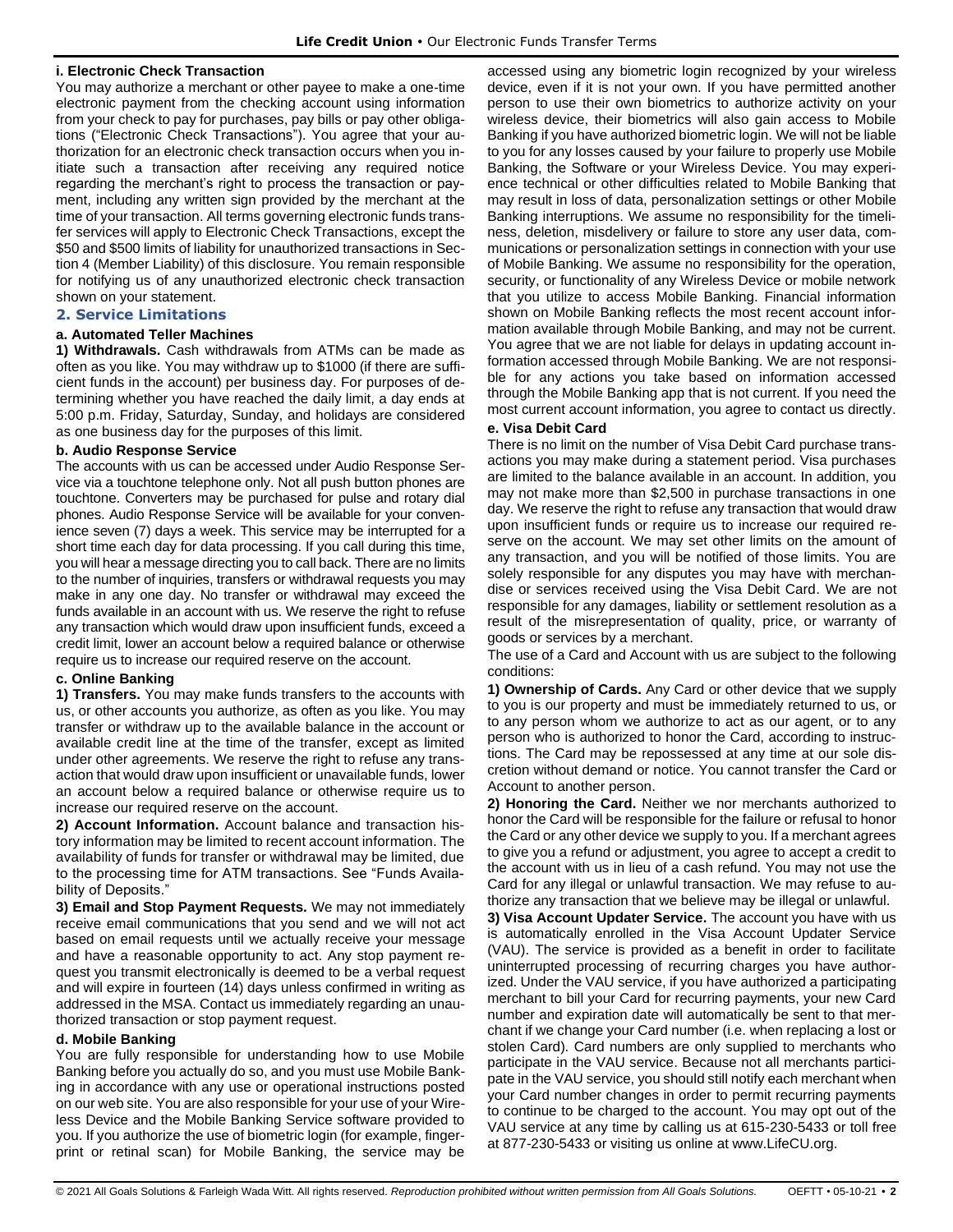## **i. Electronic Check Transaction**

You may authorize a merchant or other payee to make a one-time electronic payment from the checking account using information from your check to pay for purchases, pay bills or pay other obligations ("Electronic Check Transactions"). You agree that your authorization for an electronic check transaction occurs when you initiate such a transaction after receiving any required notice regarding the merchant's right to process the transaction or payment, including any written sign provided by the merchant at the time of your transaction. All terms governing electronic funds transfer services will apply to Electronic Check Transactions, except the \$50 and \$500 limits of liability for unauthorized transactions in Section 4 (Member Liability) of this disclosure. You remain responsible for notifying us of any unauthorized electronic check transaction shown on your statement.

# **2. Service Limitations**

## **a. Automated Teller Machines**

**1) Withdrawals.** Cash withdrawals from ATMs can be made as often as you like. You may withdraw up to \$1000 (if there are sufficient funds in the account) per business day. For purposes of determining whether you have reached the daily limit, a day ends at 5:00 p.m. Friday, Saturday, Sunday, and holidays are considered as one business day for the purposes of this limit.

## **b. Audio Response Service**

The accounts with us can be accessed under Audio Response Service via a touchtone telephone only. Not all push button phones are touchtone. Converters may be purchased for pulse and rotary dial phones. Audio Response Service will be available for your convenience seven (7) days a week. This service may be interrupted for a short time each day for data processing. If you call during this time, you will hear a message directing you to call back. There are no limits to the number of inquiries, transfers or withdrawal requests you may make in any one day. No transfer or withdrawal may exceed the funds available in an account with us. We reserve the right to refuse any transaction which would draw upon insufficient funds, exceed a credit limit, lower an account below a required balance or otherwise require us to increase our required reserve on the account.

#### **c. Online Banking**

**1) Transfers.** You may make funds transfers to the accounts with us, or other accounts you authorize, as often as you like. You may transfer or withdraw up to the available balance in the account or available credit line at the time of the transfer, except as limited under other agreements. We reserve the right to refuse any transaction that would draw upon insufficient or unavailable funds, lower an account below a required balance or otherwise require us to increase our required reserve on the account.

**2) Account Information.** Account balance and transaction history information may be limited to recent account information. The availability of funds for transfer or withdrawal may be limited, due to the processing time for ATM transactions. See "Funds Availability of Deposits.'

**3) Email and Stop Payment Requests.** We may not immediately receive email communications that you send and we will not act based on email requests until we actually receive your message and have a reasonable opportunity to act. Any stop payment request you transmit electronically is deemed to be a verbal request and will expire in fourteen (14) days unless confirmed in writing as addressed in the MSA. Contact us immediately regarding an unauthorized transaction or stop payment request.

#### **d. Mobile Banking**

You are fully responsible for understanding how to use Mobile Banking before you actually do so, and you must use Mobile Banking in accordance with any use or operational instructions posted on our web site. You are also responsible for your use of your Wireless Device and the Mobile Banking Service software provided to you. If you authorize the use of biometric login (for example, fingerprint or retinal scan) for Mobile Banking, the service may be accessed using any biometric login recognized by your wireless device, even if it is not your own. If you have permitted another person to use their own biometrics to authorize activity on your wireless device, their biometrics will also gain access to Mobile Banking if you have authorized biometric login. We will not be liable to you for any losses caused by your failure to properly use Mobile Banking, the Software or your Wireless Device. You may experience technical or other difficulties related to Mobile Banking that may result in loss of data, personalization settings or other Mobile Banking interruptions. We assume no responsibility for the timeliness, deletion, misdelivery or failure to store any user data, communications or personalization settings in connection with your use of Mobile Banking. We assume no responsibility for the operation, security, or functionality of any Wireless Device or mobile network that you utilize to access Mobile Banking. Financial information shown on Mobile Banking reflects the most recent account information available through Mobile Banking, and may not be current. You agree that we are not liable for delays in updating account information accessed through Mobile Banking. We are not responsible for any actions you take based on information accessed through the Mobile Banking app that is not current. If you need the most current account information, you agree to contact us directly.

# **e. Visa Debit Card**

There is no limit on the number of Visa Debit Card purchase transactions you may make during a statement period. Visa purchases are limited to the balance available in an account. In addition, you may not make more than \$2,500 in purchase transactions in one day. We reserve the right to refuse any transaction that would draw upon insufficient funds or require us to increase our required reserve on the account. We may set other limits on the amount of any transaction, and you will be notified of those limits. You are solely responsible for any disputes you may have with merchandise or services received using the Visa Debit Card. We are not responsible for any damages, liability or settlement resolution as a result of the misrepresentation of quality, price, or warranty of goods or services by a merchant.

The use of a Card and Account with us are subject to the following conditions:

**1) Ownership of Cards.** Any Card or other device that we supply to you is our property and must be immediately returned to us, or to any person whom we authorize to act as our agent, or to any person who is authorized to honor the Card, according to instructions. The Card may be repossessed at any time at our sole discretion without demand or notice. You cannot transfer the Card or Account to another person.

**2) Honoring the Card.** Neither we nor merchants authorized to honor the Card will be responsible for the failure or refusal to honor the Card or any other device we supply to you. If a merchant agrees to give you a refund or adjustment, you agree to accept a credit to the account with us in lieu of a cash refund. You may not use the Card for any illegal or unlawful transaction. We may refuse to authorize any transaction that we believe may be illegal or unlawful.

**3) Visa Account Updater Service.** The account you have with us is automatically enrolled in the Visa Account Updater Service (VAU). The service is provided as a benefit in order to facilitate uninterrupted processing of recurring charges you have authorized. Under the VAU service, if you have authorized a participating merchant to bill your Card for recurring payments, your new Card number and expiration date will automatically be sent to that merchant if we change your Card number (i.e. when replacing a lost or stolen Card). Card numbers are only supplied to merchants who participate in the VAU service. Because not all merchants participate in the VAU service, you should still notify each merchant when your Card number changes in order to permit recurring payments to continue to be charged to the account. You may opt out of the VAU service at any time by calling us at 615-230-5433 or toll free at 877-230-5433 or visiting us online at www.LifeCU.org.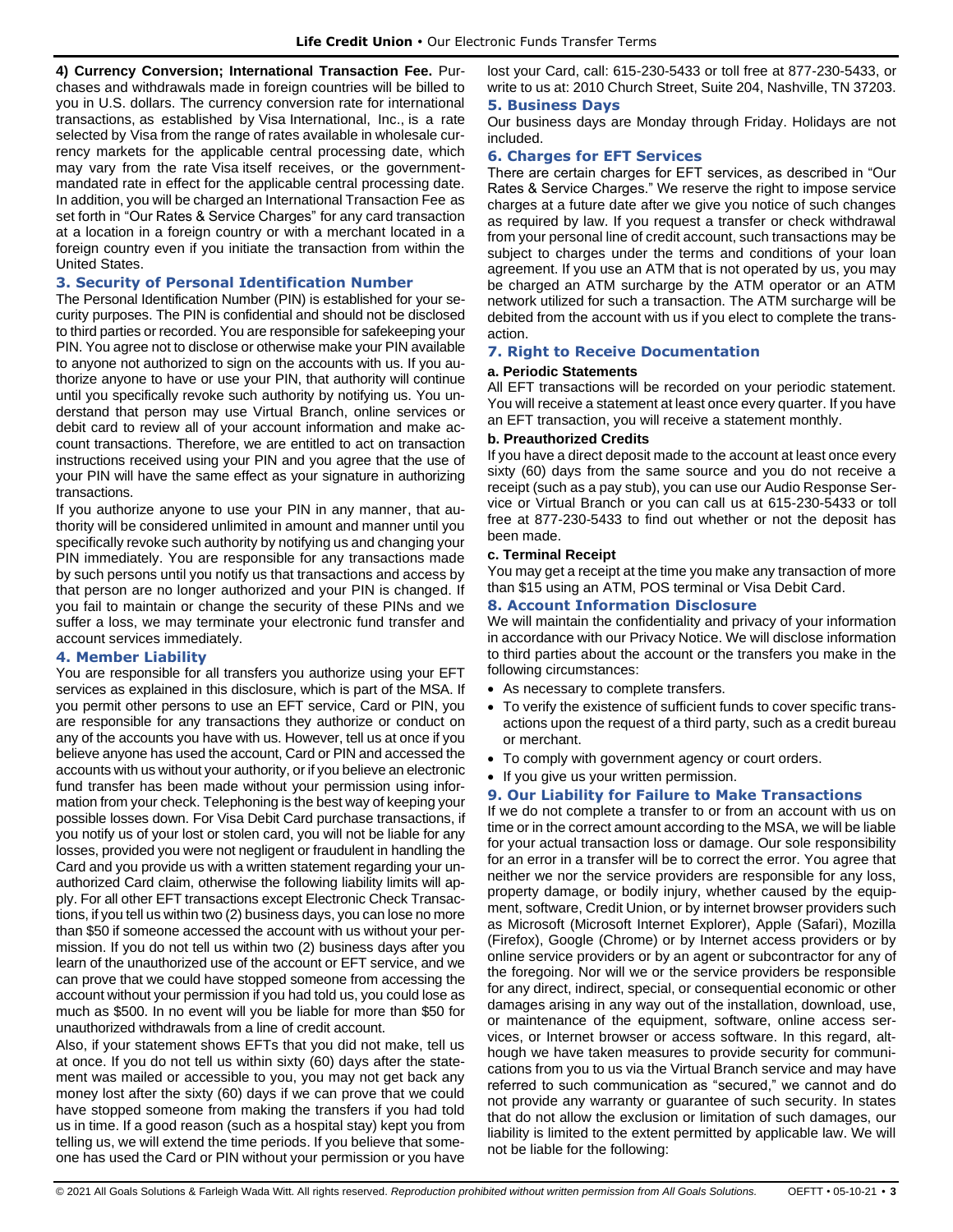**4) Currency Conversion; International Transaction Fee.** Purchases and withdrawals made in foreign countries will be billed to you in U.S. dollars. The currency conversion rate for international transactions, as established by Visa International, Inc., is a rate selected by Visa from the range of rates available in wholesale currency markets for the applicable central processing date, which may vary from the rate Visa itself receives, or the governmentmandated rate in effect for the applicable central processing date. In addition, you will be charged an International Transaction Fee as set forth in "Our Rates & Service Charges" for any card transaction at a location in a foreign country or with a merchant located in a foreign country even if you initiate the transaction from within the United States.

## **3. Security of Personal Identification Number**

The Personal Identification Number (PIN) is established for your security purposes. The PIN is confidential and should not be disclosed to third parties or recorded. You are responsible for safekeeping your PIN. You agree not to disclose or otherwise make your PIN available to anyone not authorized to sign on the accounts with us. If you authorize anyone to have or use your PIN, that authority will continue until you specifically revoke such authority by notifying us. You understand that person may use Virtual Branch, online services or debit card to review all of your account information and make account transactions. Therefore, we are entitled to act on transaction instructions received using your PIN and you agree that the use of your PIN will have the same effect as your signature in authorizing transactions.

If you authorize anyone to use your PIN in any manner, that authority will be considered unlimited in amount and manner until you specifically revoke such authority by notifying us and changing your PIN immediately. You are responsible for any transactions made by such persons until you notify us that transactions and access by that person are no longer authorized and your PIN is changed. If you fail to maintain or change the security of these PINs and we suffer a loss, we may terminate your electronic fund transfer and account services immediately.

# **4. Member Liability**

You are responsible for all transfers you authorize using your EFT services as explained in this disclosure, which is part of the MSA. If you permit other persons to use an EFT service, Card or PIN, you are responsible for any transactions they authorize or conduct on any of the accounts you have with us. However, tell us at once if you believe anyone has used the account, Card or PIN and accessed the accounts with us without your authority, or if you believe an electronic fund transfer has been made without your permission using information from your check. Telephoning is the best way of keeping your possible losses down. For Visa Debit Card purchase transactions, if you notify us of your lost or stolen card, you will not be liable for any losses, provided you were not negligent or fraudulent in handling the Card and you provide us with a written statement regarding your unauthorized Card claim, otherwise the following liability limits will apply. For all other EFT transactions except Electronic Check Transactions, if you tell us within two (2) business days, you can lose no more than \$50 if someone accessed the account with us without your permission. If you do not tell us within two (2) business days after you learn of the unauthorized use of the account or EFT service, and we can prove that we could have stopped someone from accessing the account without your permission if you had told us, you could lose as much as \$500. In no event will you be liable for more than \$50 for unauthorized withdrawals from a line of credit account.

Also, if your statement shows EFTs that you did not make, tell us at once. If you do not tell us within sixty (60) days after the statement was mailed or accessible to you, you may not get back any money lost after the sixty (60) days if we can prove that we could have stopped someone from making the transfers if you had told us in time. If a good reason (such as a hospital stay) kept you from telling us, we will extend the time periods. If you believe that someone has used the Card or PIN without your permission or you have lost your Card, call: 615-230-5433 or toll free at 877-230-5433, or write to us at: 2010 Church Street, Suite 204, Nashville, TN 37203. **5. Business Days**

Our business days are Monday through Friday. Holidays are not included.

## **6. Charges for EFT Services**

There are certain charges for EFT services, as described in "Our Rates & Service Charges." We reserve the right to impose service charges at a future date after we give you notice of such changes as required by law. If you request a transfer or check withdrawal from your personal line of credit account, such transactions may be subject to charges under the terms and conditions of your loan agreement. If you use an ATM that is not operated by us, you may be charged an ATM surcharge by the ATM operator or an ATM network utilized for such a transaction. The ATM surcharge will be debited from the account with us if you elect to complete the transaction.

# **7. Right to Receive Documentation**

#### **a. Periodic Statements**

All EFT transactions will be recorded on your periodic statement. You will receive a statement at least once every quarter. If you have an EFT transaction, you will receive a statement monthly.

#### **b. Preauthorized Credits**

If you have a direct deposit made to the account at least once every sixty (60) days from the same source and you do not receive a receipt (such as a pay stub), you can use our Audio Response Service or Virtual Branch or you can call us at 615-230-5433 or toll free at 877-230-5433 to find out whether or not the deposit has been made.

#### **c. Terminal Receipt**

You may get a receipt at the time you make any transaction of more than \$15 using an ATM, POS terminal or Visa Debit Card.

# **8. Account Information Disclosure**

We will maintain the confidentiality and privacy of your information in accordance with our Privacy Notice. We will disclose information to third parties about the account or the transfers you make in the following circumstances:

- As necessary to complete transfers.
- To verify the existence of sufficient funds to cover specific transactions upon the request of a third party, such as a credit bureau or merchant.
- To comply with government agency or court orders.
- If you give us your written permission.

# **9. Our Liability for Failure to Make Transactions**

If we do not complete a transfer to or from an account with us on time or in the correct amount according to the MSA, we will be liable for your actual transaction loss or damage. Our sole responsibility for an error in a transfer will be to correct the error. You agree that neither we nor the service providers are responsible for any loss, property damage, or bodily injury, whether caused by the equipment, software, Credit Union, or by internet browser providers such as Microsoft (Microsoft Internet Explorer), Apple (Safari), Mozilla (Firefox), Google (Chrome) or by Internet access providers or by online service providers or by an agent or subcontractor for any of the foregoing. Nor will we or the service providers be responsible for any direct, indirect, special, or consequential economic or other damages arising in any way out of the installation, download, use, or maintenance of the equipment, software, online access services, or Internet browser or access software. In this regard, although we have taken measures to provide security for communications from you to us via the Virtual Branch service and may have referred to such communication as "secured," we cannot and do not provide any warranty or guarantee of such security. In states that do not allow the exclusion or limitation of such damages, our liability is limited to the extent permitted by applicable law. We will not be liable for the following: